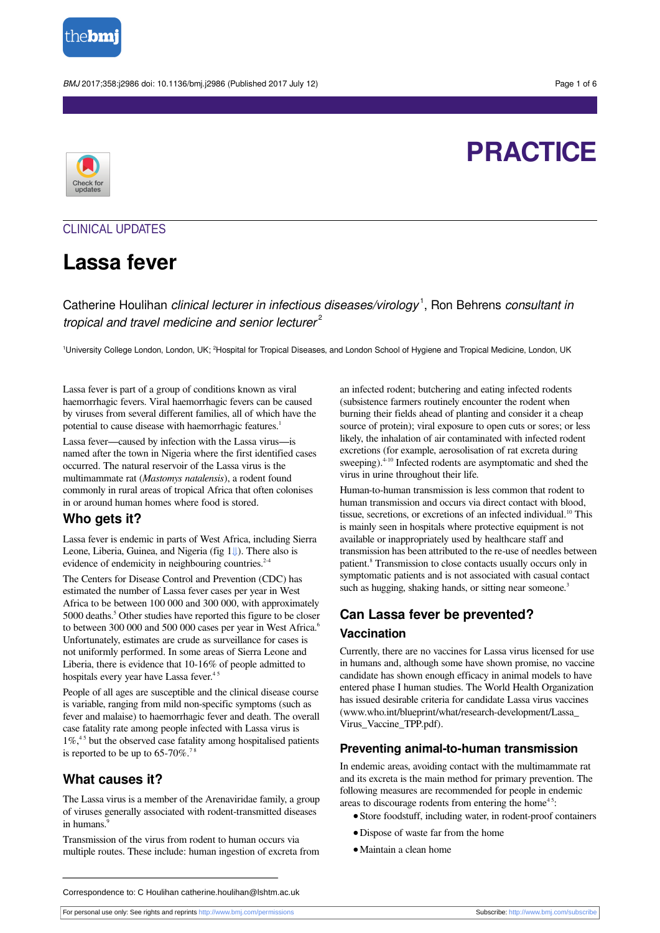

BMJ 2017;358:j2986 doi: 10.1136/bmj.j2986 (Published 2017 July 12) Page 1 of 6

# **PRACTICE**



## CLINICAL UPDATES

## **Lassa fever**

Catherine Houlihan clinical lecturer in infectious diseases/virology<sup>1</sup>, Ron Behrens consultant in tropical and travel medicine and senior lecturer $^{2}$ 

<sup>1</sup>University College London, London, UK; <sup>2</sup>Hospital for Tropical Diseases, and London School of Hygiene and Tropical Medicine, London, UK

Lassa fever is part of a group of conditions known as viral haemorrhagic fevers. Viral haemorrhagic fevers can be caused by viruses from several different families, all of which have the potential to cause disease with haemorrhagic features. 1

Lassa fever—caused by infection with the Lassa virus—is named after the town in Nigeria where the first identified cases occurred. The natural reservoir of the Lassa virus is the multimammate rat (*Mastomys natalensis*), a rodent found commonly in rural areas of tropical Africa that often colonises in or around human homes where food is stored.

## **Who gets it?**

Lassa fever is endemic in parts of West Africa, including Sierra Leone, Liberia, Guinea, and Nigeria (fig [1⇓](#page-5-0)). There also is evidence of endemicity in neighbouring countries.<sup>2-4</sup>

The Centers for Disease Control and Prevention (CDC) has estimated the number of Lassa fever cases per year in West Africa to be between 100 000 and 300 000, with approximately 5000 deaths. 5 Other studies have reported this figure to be closer to between 300 000 and 500 000 cases per year in West Africa.<sup>6</sup> Unfortunately, estimates are crude as surveillance for cases is not uniformly performed. In some areas of Sierra Leone and Liberia, there is evidence that 10-16% of people admitted to hospitals every year have Lassa fever.<sup>45</sup>

People of all ages are susceptible and the clinical disease course is variable, ranging from mild non-specific symptoms (such as fever and malaise) to haemorrhagic fever and death. The overall case fatality rate among people infected with Lassa virus is  $1\%$ <sup>45</sup> but the observed case fatality among hospitalised patients is reported to be up to  $65-70\%$ .<sup>78</sup>

## **What causes it?**

The Lassa virus is a member of the Arenaviridae family, a group of viruses generally associated with rodent-transmitted diseases in humans.<sup>9</sup>

Transmission of the virus from rodent to human occurs via multiple routes. These include: human ingestion of excreta from an infected rodent; butchering and eating infected rodents (subsistence farmers routinely encounter the rodent when burning their fields ahead of planting and consider it a cheap source of protein); viral exposure to open cuts or sores; or less likely, the inhalation of air contaminated with infected rodent excretions (for example, aerosolisation of rat excreta during sweeping).<sup>4-10</sup> Infected rodents are asymptomatic and shed the virus in urine throughout their life.

Human-to-human transmission is less common that rodent to human transmission and occurs via direct contact with blood, tissue, secretions, or excretions of an infected individual.<sup>10</sup> This is mainly seen in hospitals where protective equipment is not available or inappropriately used by healthcare staff and transmission has been attributed to the re-use of needles between patient.<sup>8</sup> Transmission to close contacts usually occurs only in symptomatic patients and is not associated with casual contact such as hugging, shaking hands, or sitting near someone.<sup>3</sup>

## **Can Lassa fever be prevented?**

#### **Vaccination**

Currently, there are no vaccines for Lassa virus licensed for use in humans and, although some have shown promise, no vaccine candidate has shown enough efficacy in animal models to have entered phase I human studies. The World Health Organization has issued desirable criteria for candidate Lassa virus vaccines ([www.who.int/blueprint/what/research-development/Lassa\\_](http://www.who.int/blueprint/what/research-development/Lassa_Virus_Vaccine_TPP.pdf) [Virus\\_Vaccine\\_TPP.pdf\)](http://www.who.int/blueprint/what/research-development/Lassa_Virus_Vaccine_TPP.pdf).

#### **Preventing animal-to-human transmission**

In endemic areas, avoiding contact with the multimammate rat and its excreta is the main method for primary prevention. The following measures are recommended for people in endemic areas to discourage rodents from entering the home<sup>45</sup>:

- **•**Store foodstuff, including water, in rodent-proof containers
- **•**Dispose of waste far from the home
- **•**Maintain a clean home

For personal use only: See rights and reprints<http://www.bmj.com/permissions> Subscribe: <http://www.bmj.com/subscribe>

Correspondence to: C Houlihan catherine.houlihan@lshtm.ac.uk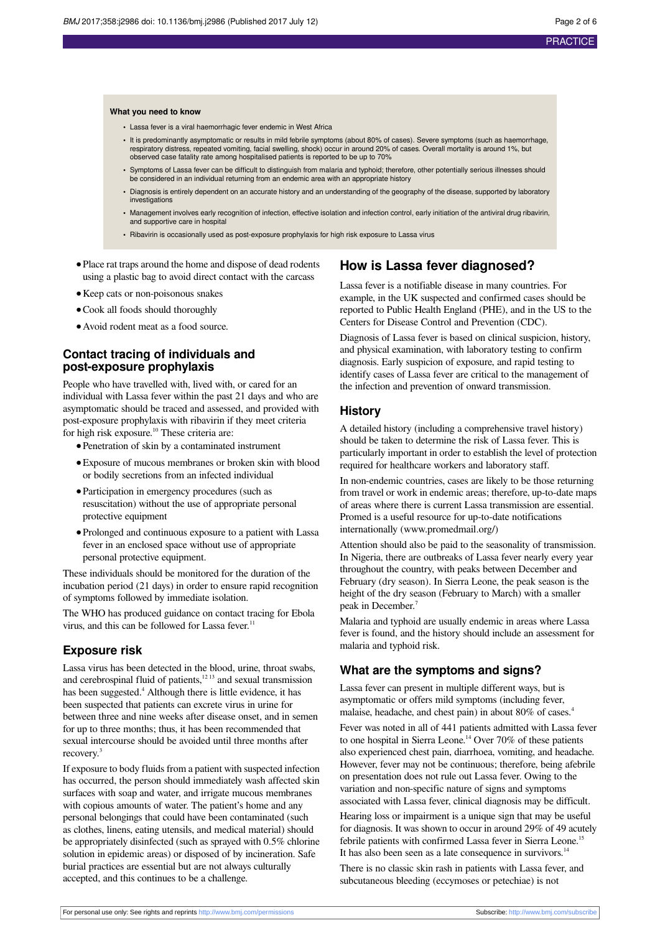#### **What you need to know**

- **•** Lassa fever is a viral haemorrhagic fever endemic in West Africa
- **•** It is predominantly asymptomatic or results in mild febrile symptoms (about 80% of cases). Severe symptoms (such as haemorrhage, respiratory distress, repeated vomiting, facial swelling, shock) occur in around 20% of cases. Overall mortality is around 1%, but observed case fatality rate among hospitalised patients is reported to be up to 70%
- **•** Symptoms of Lassa fever can be difficult to distinguish from malaria and typhoid; therefore, other potentially serious illnesses should be considered in an individual returning from an endemic area with an appropriate history
- **•** Diagnosis is entirely dependent on an accurate history and an understanding of the geography of the disease, supported by laboratory investigations
- **•** Management involves early recognition of infection, effective isolation and infection control, early initiation of the antiviral drug ribavirin, and supportive care in hospital
- **•** Ribavirin is occasionally used as post-exposure prophylaxis for high risk exposure to Lassa virus
- **•**Place rat traps around the home and dispose of dead rodents using a plastic bag to avoid direct contact with the carcass
- **•**Keep cats or non-poisonous snakes
- **•**Cook all foods should thoroughly
- **•**Avoid rodent meat as a food source.

#### **Contact tracing of individuals and post-exposure prophylaxis**

People who have travelled with, lived with, or cared for an individual with Lassa fever within the past 21 days and who are asymptomatic should be traced and assessed, and provided with post-exposure prophylaxis with ribavirin if they meet criteria for high risk exposure. <sup>10</sup> These criteria are:

- **•**Penetration of skin by a contaminated instrument
- **•**Exposure of mucous membranes or broken skin with blood or bodily secretions from an infected individual
- **•**Participation in emergency procedures (such as resuscitation) without the use of appropriate personal protective equipment
- **•**Prolonged and continuous exposure to a patient with Lassa fever in an enclosed space without use of appropriate personal protective equipment.

These individuals should be monitored for the duration of the incubation period (21 days) in order to ensure rapid recognition of symptoms followed by immediate isolation.

The WHO has produced guidance on contact tracing for Ebola virus, and this can be followed for Lassa fever.<sup>11</sup>

## **Exposure risk**

Lassa virus has been detected in the blood, urine, throat swabs, and cerebrospinal fluid of patients,<sup>1213</sup> and sexual transmission has been suggested.<sup>4</sup> Although there is little evidence, it has been suspected that patients can excrete virus in urine for between three and nine weeks after disease onset, and in semen for up to three months; thus, it has been recommended that sexual intercourse should be avoided until three months after recovery. 3

If exposure to body fluids from a patient with suspected infection has occurred, the person should immediately wash affected skin surfaces with soap and water, and irrigate mucous membranes with copious amounts of water. The patient's home and any personal belongings that could have been contaminated (such as clothes, linens, eating utensils, and medical material) should be appropriately disinfected (such as sprayed with 0.5% chlorine solution in epidemic areas) or disposed of by incineration. Safe burial practices are essential but are not always culturally accepted, and this continues to be a challenge.

### **How is Lassa fever diagnosed?**

Lassa fever is a notifiable disease in many countries. For example, in the UK suspected and confirmed cases should be reported to Public Health England (PHE), and in the US to the Centers for Disease Control and Prevention (CDC).

Diagnosis of Lassa fever is based on clinical suspicion, history, and physical examination, with laboratory testing to confirm diagnosis. Early suspicion of exposure, and rapid testing to identify cases of Lassa fever are critical to the management of the infection and prevention of onward transmission.

#### **History**

A detailed history (including a comprehensive travel history) should be taken to determine the risk of Lassa fever. This is particularly important in order to establish the level of protection required for healthcare workers and laboratory staff.

In non-endemic countries, cases are likely to be those returning from travel or work in endemic areas; therefore, up-to-date maps of areas where there is current Lassa transmission are essential. Promed is a useful resource for up-to-date notifications internationally [\(www.promedmail.org/\)](http://www.promedmail.org/)

Attention should also be paid to the seasonality of transmission. In Nigeria, there are outbreaks of Lassa fever nearly every year throughout the country, with peaks between December and February (dry season). In Sierra Leone, the peak season is the height of the dry season (February to March) with a smaller peak in December. 7

Malaria and typhoid are usually endemic in areas where Lassa fever is found, and the history should include an assessment for malaria and typhoid risk.

#### **What are the symptoms and signs?**

Lassa fever can present in multiple different ways, but is asymptomatic or offers mild symptoms (including fever, malaise, headache, and chest pain) in about 80% of cases. 4

Fever was noted in all of 441 patients admitted with Lassa fever to one hospital in Sierra Leone. <sup>14</sup> Over 70% of these patients also experienced chest pain, diarrhoea, vomiting, and headache. However, fever may not be continuous; therefore, being afebrile on presentation does not rule out Lassa fever. Owing to the variation and non-specific nature of signs and symptoms associated with Lassa fever, clinical diagnosis may be difficult.

Hearing loss or impairment is a unique sign that may be useful for diagnosis. It was shown to occur in around 29% of 49 acutely febrile patients with confirmed Lassa fever in Sierra Leone.<sup>15</sup> It has also been seen as a late consequence in survivors.<sup>14</sup>

There is no classic skin rash in patients with Lassa fever, and subcutaneous bleeding (eccymoses or petechiae) is not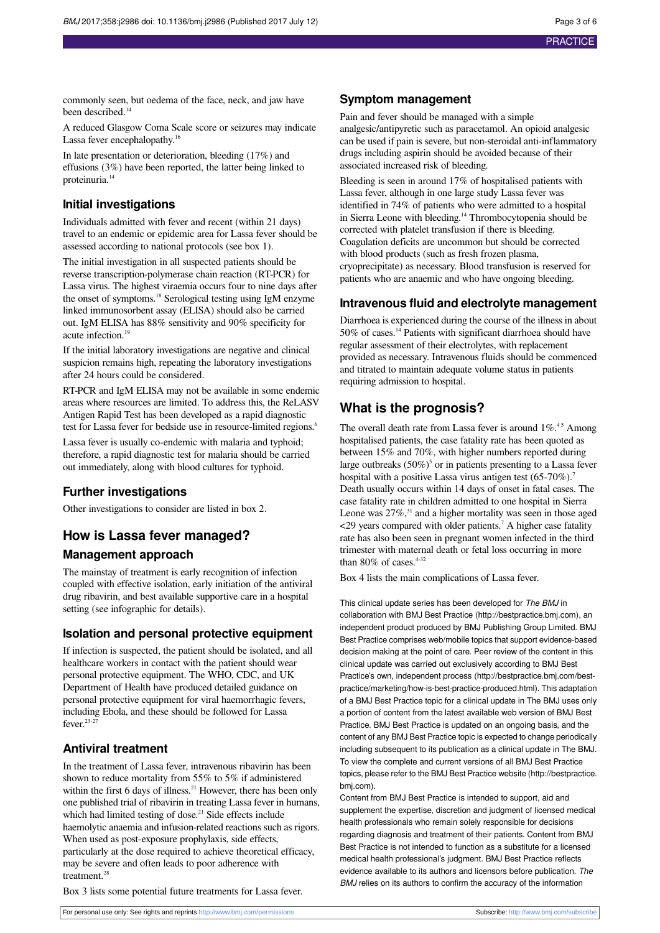commonly seen, but oedema of the face, neck, and jaw have been described.<sup>14</sup>

A reduced Glasgow Coma Scale score or seizures may indicate Lassa fever encephalopathy.<sup>16</sup>

In late presentation or deterioration, bleeding (17%) and effusions (3%) have been reported, the latter being linked to proteinuria. 14

## **Initial investigations**

Individuals admitted with fever and recent (within 21 days) travel to an endemic or epidemic area for Lassa fever should be assessed according to national protocols (see box 1).

The initial investigation in all suspected patients should be reverse transcription-polymerase chain reaction (RT-PCR) for Lassa virus. The highest viraemia occurs four to nine days after the onset of symptoms. <sup>18</sup> Serological testing using IgM enzyme linked immunosorbent assay (ELISA) should also be carried out. IgM ELISA has 88% sensitivity and 90% specificity for acute infection. 19

If the initial laboratory investigations are negative and clinical suspicion remains high, repeating the laboratory investigations after 24 hours could be considered.

RT-PCR and IgM ELISA may not be available in some endemic areas where resources are limited. To address this, the ReLASV Antigen Rapid Test has been developed as a rapid diagnostic test for Lassa fever for bedside use in resource-limited regions. 6

Lassa fever is usually co-endemic with malaria and typhoid; therefore, a rapid diagnostic test for malaria should be carried out immediately, along with blood cultures for typhoid.

## **Further investigations**

Other investigations to consider are listed in box 2.

## **How is Lassa fever managed?**

### **Management approach**

The mainstay of treatment is early recognition of infection coupled with effective isolation, early initiation of the antiviral drug ribavirin, and best available supportive care in a hospital setting (see infographic for details).

### **Isolation and personal protective equipment**

If infection is suspected, the patient should be isolated, and all healthcare workers in contact with the patient should wear personal protective equipment. The WHO, CDC, and UK Department of Health have produced detailed guidance on personal protective equipment for viral haemorrhagic fevers, including Ebola, and these should be followed for Lassa fever. 23-27

## **Antiviral treatment**

In the treatment of Lassa fever, intravenous ribavirin has been shown to reduce mortality from 55% to 5% if administered within the first 6 days of illness.<sup>21</sup> However, there has been only one published trial of ribavirin in treating Lassa fever in humans, which had limited testing of dose.<sup>21</sup> Side effects include haemolytic anaemia and infusion-related reactions such as rigors. When used as post-exposure prophylaxis, side effects, particularly at the dose required to achieve theoretical efficacy, may be severe and often leads to poor adherence with treatment.<sup>28</sup>

Box 3 lists some potential future treatments for Lassa fever.

## **Symptom management**

Pain and fever should be managed with a simple analgesic/antipyretic such as paracetamol. An opioid analgesic can be used if pain is severe, but non-steroidal anti-inflammatory drugs including aspirin should be avoided because of their associated increased risk of bleeding.

Bleeding is seen in around 17% of hospitalised patients with Lassa fever, although in one large study Lassa fever was identified in 74% of patients who were admitted to a hospital in Sierra Leone with bleeding. <sup>14</sup> Thrombocytopenia should be corrected with platelet transfusion if there is bleeding. Coagulation deficits are uncommon but should be corrected with blood products (such as fresh frozen plasma, cryoprecipitate) as necessary. Blood transfusion is reserved for patients who are anaemic and who have ongoing bleeding.

### **Intravenous fluid and electrolyte management**

Diarrhoea is experienced during the course of the illness in about 50% of cases. <sup>14</sup> Patients with significant diarrhoea should have regular assessment of their electrolytes, with replacement provided as necessary. Intravenous fluids should be commenced and titrated to maintain adequate volume status in patients requiring admission to hospital.

## **What is the prognosis?**

The overall death rate from Lassa fever is around  $1\%$ <sup>45</sup> Among hospitalised patients, the case fatality rate has been quoted as between 15% and 70%, with higher numbers reported during large outbreaks  $(50\%)^5$  or in patients presenting to a Lassa fever hospital with a positive Lassa virus antigen test (65-70%).<sup>7</sup> Death usually occurs within 14 days of onset in fatal cases. The case fatality rate in children admitted to one hospital in Sierra Leone was  $27\%$ ,<sup>31</sup> and a higher mortality was seen in those aged <29 years compared with older patients. 7 A higher case fatality rate has also been seen in pregnant women infected in the third trimester with maternal death or fetal loss occurring in more than 80% of cases. $4-32$ 

Box 4 lists the main complications of Lassa fever.

This clinical update series has been developed for The BMJ in collaboration with BMJ Best Practice [\(http://bestpractice.bmj.com\)](http://bestpractice.bmj.com), an independent product produced by BMJ Publishing Group Limited. BMJ Best Practice comprises web/mobile topics that support evidence-based decision making at the point of care. Peer review of the content in this clinical update was carried out exclusively according to BMJ Best Practice's own, independent process [\(http://bestpractice.bmj.com/best](http://bestpractice.bmj.com/best-practice/marketing/how-is-best-practice-produced.html)[practice/marketing/how-is-best-practice-produced.html](http://bestpractice.bmj.com/best-practice/marketing/how-is-best-practice-produced.html)). This adaptation of a BMJ Best Practice topic for a clinical update in The BMJ uses only a portion of content from the latest available web version of BMJ Best Practice. BMJ Best Practice is updated on an ongoing basis, and the content of any BMJ Best Practice topic is expected to change periodically including subsequent to its publication as a clinical update in The BMJ. To view the complete and current versions of all BMJ Best Practice topics, please refer to the BMJ Best Practice website ([http://bestpractice.](http://bestpractice.bmj.com) [bmj.com\)](http://bestpractice.bmj.com).

Content from BMJ Best Practice is intended to support, aid and supplement the expertise, discretion and judgment of licensed medical health professionals who remain solely responsible for decisions regarding diagnosis and treatment of their patients. Content from BMJ Best Practice is not intended to function as a substitute for a licensed medical health professional's judgment. BMJ Best Practice reflects evidence available to its authors and licensors before publication. The BMJ relies on its authors to confirm the accuracy of the information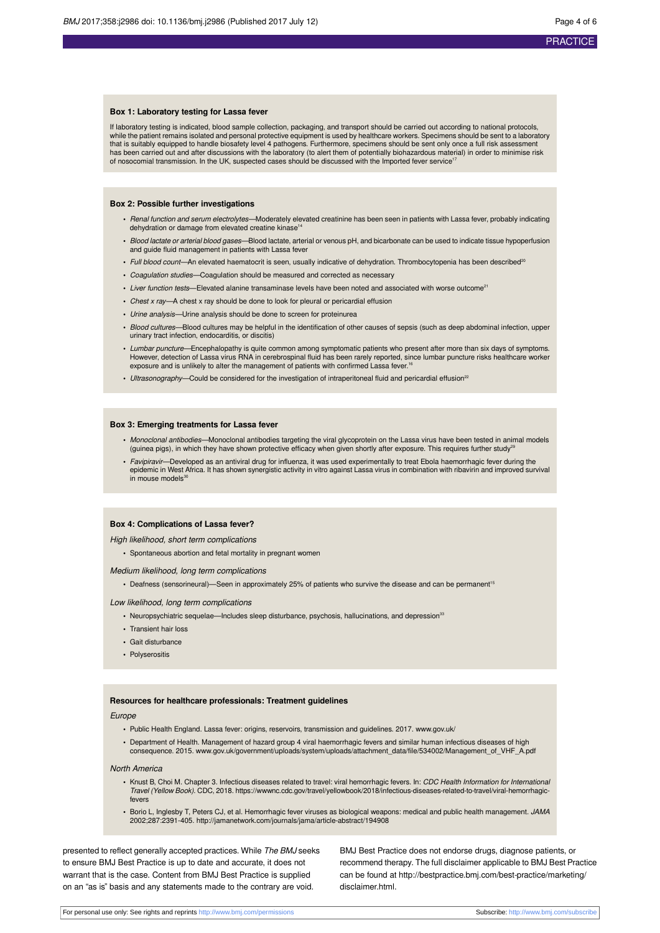#### **Box 1: Laboratory testing for Lassa fever**

If laboratory testing is indicated, blood sample collection, packaging, and transport should be carried out according to national protocols, while the patient remains isolated and personal protective equipment is used by healthcare workers. Specimens should be sent to a laboratory that is suitably equipped to handle biosafety level 4 pathogens. Furthermore, specimens should be sent only once a full risk assessment<br>has been carried out and after discussions with the laboratory (to alert them of poten of nosocomial transmission. In the UK, suspected cases should be discussed with the Imported fever service<sup>17</sup>

#### **Box 2: Possible further investigations**

- *Renal function and serum electrolytes—*Moderately elevated creatinine has been seen in patients with Lassa fever, probably indicating<br>dehydration or damage from elevated creatine kinase<sup>14</sup>
- **•** Blood lactate or arterial blood gases—Blood lactate, arterial or venous pH, and bicarbonate can be used to indicate tissue hypoperfusion and guide fluid management in patients with Lassa fever
- Full blood count—An elevated haematocrit is seen, usually indicative of dehydration. Thrombocytopenia has been described<sup>20</sup>
- **•** Coagulation studies—Coagulation should be measured and corrected as necessary
- Liver function tests—Elevated alanine transaminase levels have been noted and associated with worse outcome<sup>21</sup>
- **•** Chest x ray—A chest x ray should be done to look for pleural or pericardial effusion
- **•** Urine analysis—Urine analysis should be done to screen for proteinurea
- **•** Blood cultures—Blood cultures may be helpful in the identification of other causes of sepsis (such as deep abdominal infection, upper urinary tract infection, endocarditis, or discitis)
- **•** Lumbar puncture—Encephalopathy is quite common among symptomatic patients who present after more than six days of symptoms. However, detection of Lassa virus RNA in cerebrospinal fluid has been rarely reported, since lumbar puncture risks healthcare worker exposure and is unlikely to alter the management of patients with confirmed Lassa fever.<sup>16</sup>
- Ultrasonography—Could be considered for the investigation of intraperitoneal fluid and pericardial effusion<sup>22</sup>

#### **Box 3: Emerging treatments for Lassa fever**

- Monoclonal antibodies—Monoclonal antibodies targeting the viral glycoprotein on the Lassa virus have been tested in animal models<br>(guinea pigs), in which they have shown protective efficacy when given shortly after exposur
- **•** Favipiravir—Developed as an antiviral drug for influenza, it was used experimentally to treat Ebola haemorrhagic fever during the epidemic in West Africa. It has shown synergistic activity in vitro against Lassa virus in combination with ribavirin and improved survival in mouse models<sup>3</sup>

#### **Box 4: Complications of Lassa fever?**

#### High likelihood, short term complications

**•** Spontaneous abortion and fetal mortality in pregnant women

#### Medium likelihood, long term complications

• Deafness (sensorineural)—Seen in approximately 25% of patients who survive the disease and can be permanent<sup>15</sup>

#### Low likelihood, long term complications

- Neuropsychiatric sequelae—Includes sleep disturbance, psychosis, hallucinations, and depression<sup>33</sup>
- **•** Transient hair loss
- **•** Gait disturbance
- **•** Polyserositis

#### **Resources for healthcare professionals: Treatment guidelines**

#### **Europe**

- **•** Public Health England. Lassa fever: origins, reservoirs, transmission and guidelines. 2017. [www.gov.uk/](http://www.gov.uk/)
- **•** Department of Health. Management of hazard group 4 viral haemorrhagic fevers and similar human infectious diseases of high consequence. 2015. [www.gov.uk/government/uploads/system/uploads/attachment\\_data/file/534002/Management\\_of\\_VHF\\_A.pdf](http://www.gov.uk/government/uploads/system/uploads/attachment_data/file/534002/Management_of_VHF_A.pdf)

#### North America

- Knust B, Choi M. Chapter 3. Infectious diseases related to travel: viral hemorrhagic fevers. In: *CDC Health Information for Internationa*<br>Travel (Yellow Book). CDC, 2018. https://wwwnc.cdc.gov/travel/yellowbook/2018/infec fevers
- **•** Borio L, Inglesby T, Peters CJ, et al. Hemorrhagic fever viruses as biological weapons: medical and public health management. JAMA 2002;287:2391-405.<http://jamanetwork.com/journals/jama/article-abstract/194908>

presented to reflect generally accepted practices. While The BMJ seeks to ensure BMJ Best Practice is up to date and accurate, it does not warrant that is the case. Content from BMJ Best Practice is supplied on an "as is" basis and any statements made to the contrary are void.

BMJ Best Practice does not endorse drugs, diagnose patients, or recommend therapy. The full disclaimer applicable to BMJ Best Practice can be found at [http://bestpractice.bmj.com/best-practice/marketing/](http://bestpractice.bmj.com/best-practice/marketing/disclaimer.html) [disclaimer.html.](http://bestpractice.bmj.com/best-practice/marketing/disclaimer.html)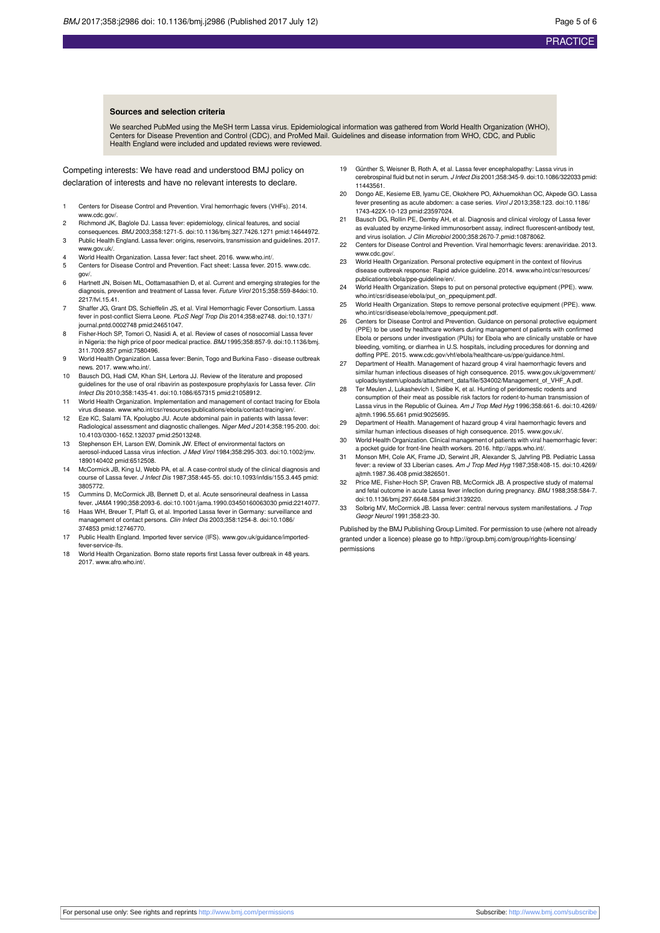#### **Sources and selection criteria**

We searched PubMed using the MeSH term Lassa virus. Epidemiological information was gathered from World Health Organization (WHO), Centers for Disease Prevention and Control (CDC), and ProMed Mail. Guidelines and disease information from WHO, CDC, and Public Health England were included and updated reviews were reviewed.

Competing interests: We have read and understood BMJ policy on declaration of interests and have no relevant interests to declare.

- 1 Centers for Disease Control and Prevention. Viral hemorrhagic fevers (VHFs). 2014. www.cdc.gov
- 2 Richmond JK, Baglole DJ. Lassa fever: epidemiology, clinical features, and social
- consequences. BMJ 2003;358:1271-5. [doi:10.1136/bmj.327.7426.1271](http://dx.doi.org/10.1136/bmj.327.7426.1271) [pmid:14644972](http://www.ncbi.nlm.nih.gov/pubmed/?term=14644972). 3 Public Health England. Lassa fever: origins, reservoirs, transmission and guidelines. 2017. [www.gov.uk/.](http://www.gov.uk/)
- 4 World Health Organization. Lassa fever: fact sheet. 2016. [www.who.int/.](http://www.who.int/) 5 Centers for Disease Control and Prevention. Fact sheet: Lassa fever. 2015. [www.cdc.](http://www.cdc.gov/)
- [gov/](http://www.cdc.gov/). 6 Hartnett JN, Boisen ML, Oottamasathien D, et al. Current and emerging strategies for the
- diagnosis, prevention and treatment of Lassa fever. Future Virol 2015;358:559-8[4doi:10.](http://dx.doi.org/10.2217/fvl.15.41) [2217/fvl.15.41](http://dx.doi.org/10.2217/fvl.15.41).
- 7 Shaffer JG, Grant DS, Schieffelin JS, et al. Viral Hemorrhagic Fever Consortium. Lassa fever in post-conflict Sierra Leone. PLoS Negl Trop Dis 2014;358:e2748. [doi:10.1371/](http://dx.doi.org/10.1371/journal.pntd.0002748) [journal.pntd.0002748](http://dx.doi.org/10.1371/journal.pntd.0002748) [pmid:24651047.](http://www.ncbi.nlm.nih.gov/pubmed/?term=24651047)
- 8 Fisher-Hoch SP, Tomori O, Nasidi A, et al. Review of cases of nosocomial Lassa fever in Nigeria: the high price of poor medical practice. BMJ 1995;358:857-9. [doi:10.1136/bmj.](http://dx.doi.org/10.1136/bmj.311.7009.857) [311.7009.857](http://dx.doi.org/10.1136/bmj.311.7009.857) [pmid:7580496](http://www.ncbi.nlm.nih.gov/pubmed/?term=7580496).
- 9 World Health Organization. Lassa fever: Benin, Togo and Burkina Faso disease outbreak news. 2017. [www.who.int/.](http://www.who.int/)
- 10 Bausch DG, Hadi CM, Khan SH, Lertora JJ. Review of the literature and proposed guidelines for the use of oral ribavirin as postexposure prophylaxis for Lassa fever. Clin Infect Dis 2010;358:1435-41. [doi:10.1086/657315](http://dx.doi.org/10.1086/657315) [pmid:21058912.](http://www.ncbi.nlm.nih.gov/pubmed/?term=21058912)
- 11 World Health Organization. Implementation and management of contact tracing for Ebola virus disease. [www.who.int/csr/resources/publications/ebola/contact-tracing/en/](http://www.who.int/csr/resources/publications/ebola/contact-tracing/en/).
- 12 Eze KC, Salami TA, Kpolugbo JU. Acute abdominal pain in patients with lassa fever: Radiological assessment and diagnostic challenges. Niger Med J 2014;358:195-200. [doi:](http://dx.doi.org/10.4103/0300-1652.132037) [10.4103/0300-1652.132037](http://dx.doi.org/10.4103/0300-1652.132037) [pmid:25013248](http://www.ncbi.nlm.nih.gov/pubmed/?term=25013248).
- 13 Stephenson EH, Larson EW, Dominik JW. Effect of environmental factors on aerosol-induced Lassa virus infection. J Med Virol 1984;358:295-303. [doi:10.1002/jmv.](http://dx.doi.org/10.1002/jmv.1890140402) [1890140402](http://dx.doi.org/10.1002/jmv.1890140402) [pmid:6512508](http://www.ncbi.nlm.nih.gov/pubmed/?term=6512508).
- 14 McCormick JB, King IJ, Webb PA, et al. A case-control study of the clinical diagnosis and course of Lassa fever. J Infect Dis 1987;358:445-55. [doi:10.1093/infdis/155.3.445](http://dx.doi.org/10.1093/infdis/155.3.445) [pmid:](http://www.ncbi.nlm.nih.gov/pubmed/?term=3805772) [3805772.](http://www.ncbi.nlm.nih.gov/pubmed/?term=3805772)
- 15 Cummins D, McCormick JB, Bennett D, et al. Acute sensorineural deafness in Lassa fever. JAMA 1990;358:2093-6. [doi:10.1001/jama.1990.03450160063030](http://dx.doi.org/10.1001/jama.1990.03450160063030) [pmid:2214077](http://www.ncbi.nlm.nih.gov/pubmed/?term=2214077).
- 16 Haas WH, Breuer T, Pfaff G, et al. Imported Lassa fever in Germany: surveillance and management of contact persons. Clin Infect Dis 2003;358:1254-8. [doi:10.1086/](http://dx.doi.org/10.1086/374853) [374853](http://dx.doi.org/10.1086/374853) [pmid:12746770.](http://www.ncbi.nlm.nih.gov/pubmed/?term=12746770)
- 17 Public Health England. Imported fever service (IFS). [www.gov.uk/guidance/imported](http://www.gov.uk/guidance/imported-fever-service-ifs)[fever-service-ifs](http://www.gov.uk/guidance/imported-fever-service-ifs).
- 18 World Health Organization. Borno state reports first Lassa fever outbreak in 48 years. 2017. [www.afro.who.int/.](http://www.afro.who.int/)
- 19 Günther S, Weisner B, Roth A, et al. Lassa fever encephalopathy: Lassa virus in cerebrospinal fluid but not in serum. J Infect Dis 2001;358:345-9. [doi:10.1086/322033](http://dx.doi.org/10.1086/322033) [pmid:](http://www.ncbi.nlm.nih.gov/pubmed/?term=11443561) [11443561.](http://www.ncbi.nlm.nih.gov/pubmed/?term=11443561)
- 20 Dongo AE, Kesieme EB, Iyamu CE, Okokhere PO, Akhuemokhan OC, Akpede GO. Lassa fever presenting as acute abdomen: a case series. Virol J 2013;358:123. [doi:10.1186/](http://dx.doi.org/10.1186/1743-422X-10-123) [1743-422X-10-123](http://dx.doi.org/10.1186/1743-422X-10-123) [pmid:23597024.](http://www.ncbi.nlm.nih.gov/pubmed/?term=23597024)
- 21 Bausch DG, Rollin PE, Demby AH, et al. Diagnosis and clinical virology of Lassa fever as evaluated by enzyme-linked immunosorbent assay, indirect fluorescent-antibody test, and virus isolation. J Clin Microbiol 2000;358:2670-7[.pmid:10878062.](http://www.ncbi.nlm.nih.gov/pubmed/?term=10878062)
- 22 Centers for Disease Control and Prevention. Viral hemorrhagic fevers: arenaviridae. 2013. [www.cdc.gov/.](http://www.cdc.gov/)
- 23 World Health Organization. Personal protective equipment in the context of filovirus disease outbreak response: Rapid advice guideline. 2014. [www.who.int/csr/resources/](http://www.who.int/csr/resources/publications/ebola/ppe-guideline/en/) [publications/ebola/ppe-guideline/en/.](http://www.who.int/csr/resources/publications/ebola/ppe-guideline/en/)
- 24 World Health Organization. Steps to put on personal protective equipment (PPE). [www.](http://www.who.int/csr/disease/ebola/put_on_ppequipment.pdf) [who.int/csr/disease/ebola/put\\_on\\_ppequipment.pdf.](http://www.who.int/csr/disease/ebola/put_on_ppequipment.pdf)
- 25 World Health Organization. Steps to remove personal protective equipment (PPE). [www.](http://www.who.int/csr/disease/ebola/remove_ppequipment.pdf) [who.int/csr/disease/ebola/remove\\_ppequipment.pdf.](http://www.who.int/csr/disease/ebola/remove_ppequipment.pdf)
- 26 Centers for Disease Control and Prevention. Guidance on personal protective equipment (PPE) to be used by healthcare workers during management of patients with confirmed Ebola or persons under investigation (PUIs) for Ebola who are clinically unstable or have bleeding, vomiting, or diarrhea in U.S. hospitals, including procedures for donning and doffing PPE. 2015. [www.cdc.gov/vhf/ebola/healthcare-us/ppe/guidance.html](http://www.cdc.gov/vhf/ebola/healthcare-us/ppe/guidance.html).
- 27 Department of Health. Management of hazard group 4 viral haemorrhagic fevers and similar human infectious diseases of high consequence. 2015. [www.gov.uk/government/](http://www.gov.uk/government/uploads/system/uploads/attachment_data/file/534002/Management_of_VHF_A.pdf) [uploads/system/uploads/attachment\\_data/file/534002/Management\\_of\\_VHF\\_A.pdf](http://www.gov.uk/government/uploads/system/uploads/attachment_data/file/534002/Management_of_VHF_A.pdf).
- 28 Ter Meulen J, Lukashevich I, Sidibe K, et al. Hunting of peridomestic rodents and consumption of their meat as possible risk factors for rodent-to-human transmission of Lassa virus in the Republic of Guinea. Am J Trop Med Hyg 1996;358:661-6. [doi:10.4269/](http://dx.doi.org/10.4269/ajtmh.1996.55.661) [ajtmh.1996.55.661](http://dx.doi.org/10.4269/ajtmh.1996.55.661) [pmid:9025695](http://www.ncbi.nlm.nih.gov/pubmed/?term=9025695).
- 29 Department of Health. Management of hazard group 4 viral haemorrhagic fevers and similar human infectious diseases of high consequence. 2015. [www.gov.uk/.](http://www.gov.uk/)
- 30 World Health Organization. Clinical management of patients with viral haemorrhagic fever: a pocket guide for front-line health workers. 2016. [http://apps.who.int/.](http://apps.who.int/)
- Monson MH, Cole AK, Frame JD, Serwint JR, Alexander S, Jahrling PB. Pediatric Lassa fever: a review of 33 Liberian cases. Am J Trop Med Hyg 1987;358:408-15. [doi:10.4269/](http://dx.doi.org/10.4269/ajtmh.1987.36.408) [ajtmh.1987.36.408](http://dx.doi.org/10.4269/ajtmh.1987.36.408) [pmid:3826501](http://www.ncbi.nlm.nih.gov/pubmed/?term=3826501).
- 32 Price ME, Fisher-Hoch SP, Craven RB, McCormick JB. A prospective study of maternal and fetal outcome in acute Lassa fever infection during pregnancy. BMJ 1988;358:584-7. [doi:10.1136/bmj.297.6648.584](http://dx.doi.org/10.1136/bmj.297.6648.584) [pmid:3139220.](http://www.ncbi.nlm.nih.gov/pubmed/?term=3139220)
- 33 Solbrig MV, McCormick JB. Lassa fever: central nervous system manifestations. J Trop Geogr Neurol 1991;358:23-30.

Published by the BMJ Publishing Group Limited. For permission to use (where not already granted under a licence) please go to [http://group.bmj.com/group/rights-licensing/](http://group.bmj.com/group/rights-licensing/permissions) [permissions](http://group.bmj.com/group/rights-licensing/permissions)